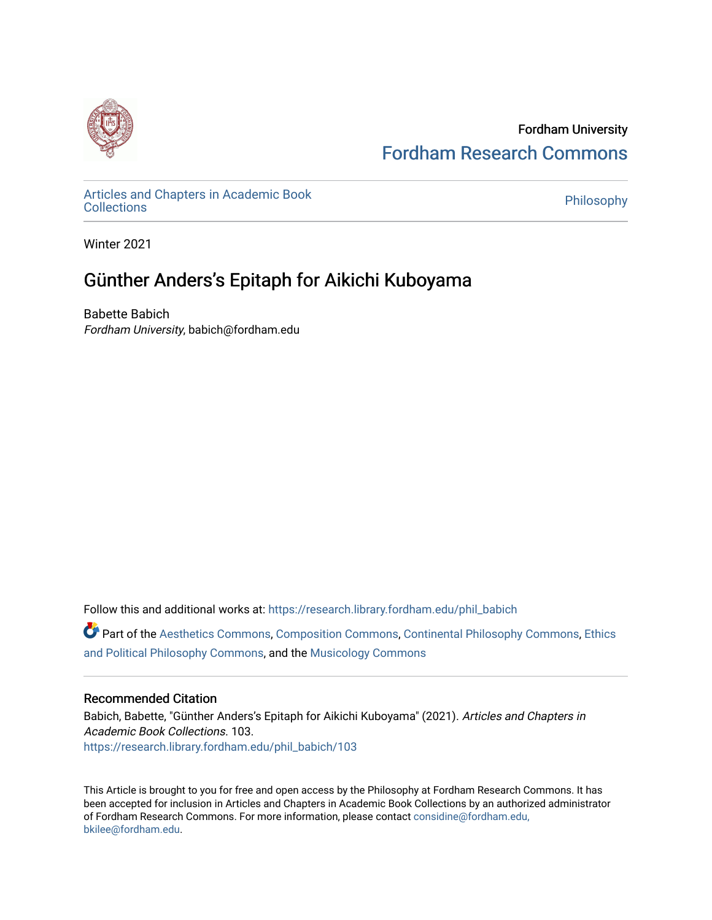

Fordham University [Fordham Research Commons](https://research.library.fordham.edu/) 

[Articles and Chapters in Academic Book](https://research.library.fordham.edu/phil_babich) Articles and Chapters in Academic Book<br>[Collections](https://research.library.fordham.edu/phil_babich) Philosophy

Winter 2021

## Günther Anders's Epitaph for Aikichi Kuboyama

Babette Babich Fordham University, babich@fordham.edu

Follow this and additional works at: [https://research.library.fordham.edu/phil\\_babich](https://research.library.fordham.edu/phil_babich?utm_source=research.library.fordham.edu%2Fphil_babich%2F103&utm_medium=PDF&utm_campaign=PDFCoverPages)

Part of the [Aesthetics Commons,](http://network.bepress.com/hgg/discipline/528?utm_source=research.library.fordham.edu%2Fphil_babich%2F103&utm_medium=PDF&utm_campaign=PDFCoverPages) [Composition Commons,](http://network.bepress.com/hgg/discipline/519?utm_source=research.library.fordham.edu%2Fphil_babich%2F103&utm_medium=PDF&utm_campaign=PDFCoverPages) [Continental Philosophy Commons](http://network.bepress.com/hgg/discipline/526?utm_source=research.library.fordham.edu%2Fphil_babich%2F103&utm_medium=PDF&utm_campaign=PDFCoverPages), [Ethics](http://network.bepress.com/hgg/discipline/529?utm_source=research.library.fordham.edu%2Fphil_babich%2F103&utm_medium=PDF&utm_campaign=PDFCoverPages)  [and Political Philosophy Commons,](http://network.bepress.com/hgg/discipline/529?utm_source=research.library.fordham.edu%2Fphil_babich%2F103&utm_medium=PDF&utm_campaign=PDFCoverPages) and the [Musicology Commons](http://network.bepress.com/hgg/discipline/521?utm_source=research.library.fordham.edu%2Fphil_babich%2F103&utm_medium=PDF&utm_campaign=PDFCoverPages) 

### Recommended Citation

Babich, Babette, "Günther Anders's Epitaph for Aikichi Kuboyama" (2021). Articles and Chapters in Academic Book Collections. 103. [https://research.library.fordham.edu/phil\\_babich/103](https://research.library.fordham.edu/phil_babich/103?utm_source=research.library.fordham.edu%2Fphil_babich%2F103&utm_medium=PDF&utm_campaign=PDFCoverPages)

This Article is brought to you for free and open access by the Philosophy at Fordham Research Commons. It has been accepted for inclusion in Articles and Chapters in Academic Book Collections by an authorized administrator of Fordham Research Commons. For more information, please contact [considine@fordham.edu,](mailto:considine@fordham.edu,%20bkilee@fordham.edu)  [bkilee@fordham.edu.](mailto:considine@fordham.edu,%20bkilee@fordham.edu)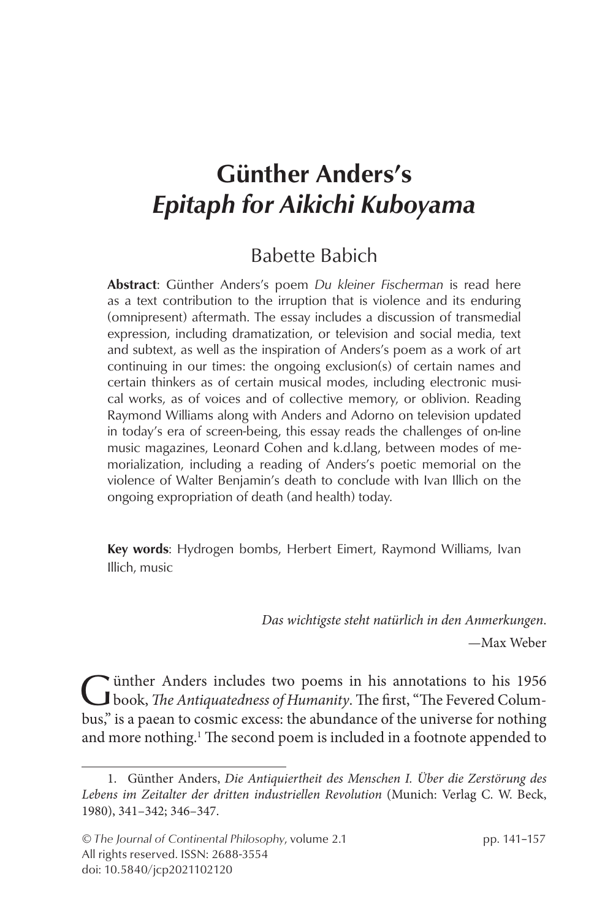# Günther Anders's *Epitaph for Aikichi Kuboyama*

### Babette Babich

Abstract: Günther Anders's poem *Du kleiner Fischerman* is read here as a text contribution to the irruption that is violence and its enduring (omnipresent) aftermath. The essay includes a discussion of transmedial expression, including dramatization, or television and social media, text and subtext, as well as the inspiration of Anders's poem as a work of art continuing in our times: the ongoing exclusion(s) of certain names and certain thinkers as of certain musical modes, including electronic musical works, as of voices and of collective memory, or oblivion. Reading Raymond Williams along with Anders and Adorno on television updated in today's era of screen-being, this essay reads the challenges of on-line music magazines, Leonard Cohen and k.d.lang, between modes of memorialization, including a reading of Anders's poetic memorial on the violence of Walter Benjamin's death to conclude with Ivan Illich on the ongoing expropriation of death (and health) today.

Key words: Hydrogen bombs, Herbert Eimert, Raymond Williams, Ivan Illich, music

> *Das wichtigste steht natürlich in den Anmerkungen*. —Max Weber

Günther Anders includes two poems in his annotations to his 1956<br>book, *The Antiquatedness of Humanity*. The first, "The Fevered Columbus," is a paean to cosmic excess: the abundance of the universe for nothing and more nothing.<sup>1</sup> The second poem is included in a footnote appended to

<sup>1.</sup> Günther Anders, *Die Antiquiertheit des Menschen I. Über die Zerstörung des Lebens im Zeitalter der dritten industriellen Revolution* (Munich: Verlag C. W. Beck, 1980), 341–342; 346–347.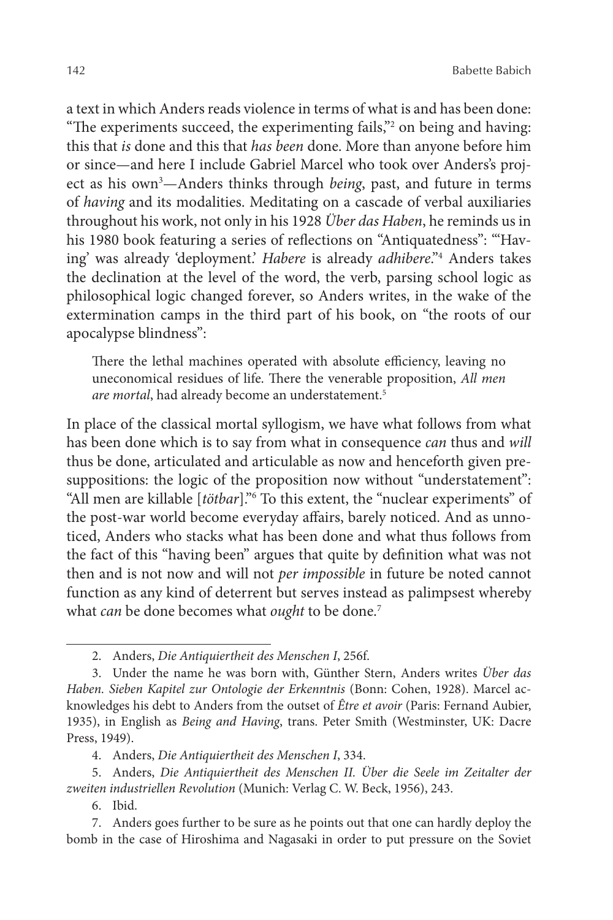a text in which Anders reads violence in terms of what is and has been done: "The experiments succeed, the experimenting fails,"2 on being and having: this that *is* done and this that *has been* done. More than anyone before him or since—and here I include Gabriel Marcel who took over Anders's project as his own<sup>3</sup>—Anders thinks through *being*, past, and future in terms of *having* and its modalities. Meditating on a cascade of verbal auxiliaries throughout his work, not only in his 1928 *Über das Haben*, he reminds us in his 1980 book featuring a series of reflections on "Antiquatedness": "'Having' was already 'deployment.' *Habere* is already *adhibere*."4 Anders takes the declination at the level of the word, the verb, parsing school logic as philosophical logic changed forever, so Anders writes, in the wake of the extermination camps in the third part of his book, on "the roots of our apocalypse blindness":

There the lethal machines operated with absolute efficiency, leaving no uneconomical residues of life. There the venerable proposition, *All men are mortal*, had already become an understatement.5

In place of the classical mortal syllogism, we have what follows from what has been done which is to say from what in consequence *can* thus and *will*  thus be done, articulated and articulable as now and henceforth given presuppositions: the logic of the proposition now without "understatement": "All men are killable [*tötbar*]."6 To this extent, the "nuclear experiments" of the post-war world become everyday affairs, barely noticed. And as unnoticed, Anders who stacks what has been done and what thus follows from the fact of this "having been" argues that quite by definition what was not then and is not now and will not *per impossible* in future be noted cannot function as any kind of deterrent but serves instead as palimpsest whereby what *can* be done becomes what *ought* to be done.7

4. Anders, *Die Antiquiertheit des Menschen I*, 334.

6. Ibid.

<sup>2.</sup> Anders, *Die Antiquiertheit des Menschen I*, 256f.

<sup>3.</sup> Under the name he was born with, Günther Stern, Anders writes *Über das Haben. Sieben Kapitel zur Ontologie der Erkenntnis* (Bonn: Cohen, 1928). Marcel acknowledges his debt to Anders from the outset of *Être et avoir* (Paris: Fernand Aubier, 1935), in English as *Being and Having*, trans. Peter Smith (Westminster, UK: Dacre Press, 1949).

<sup>5.</sup> Anders, *Die Antiquiertheit des Menschen II. Über die Seele im Zeitalter der zweiten industriellen Revolution* (Munich: Verlag C. W. Beck, 1956), 243.

<sup>7.</sup> Anders goes further to be sure as he points out that one can hardly deploy the bomb in the case of Hiroshima and Nagasaki in order to put pressure on the Soviet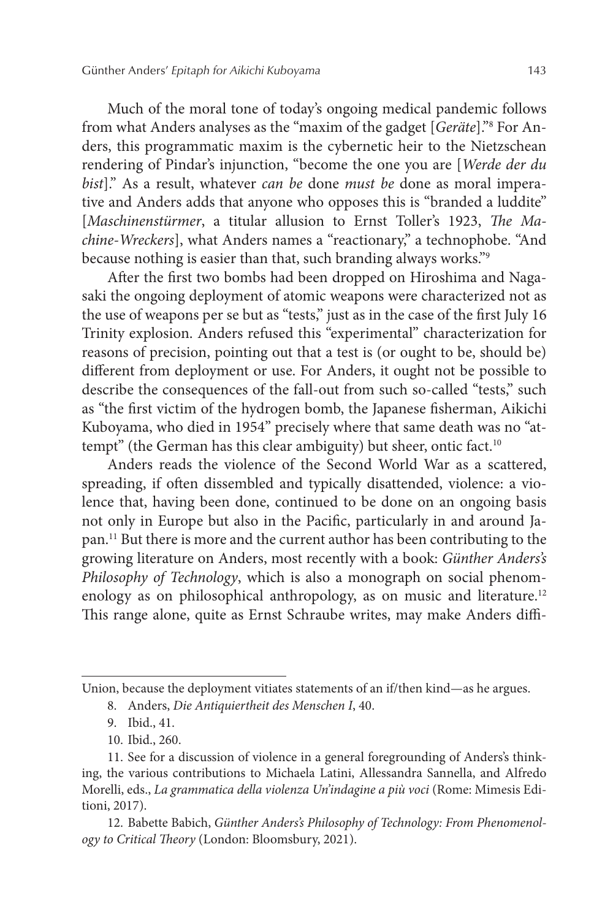Much of the moral tone of today's ongoing medical pandemic follows from what Anders analyses as the "maxim of the gadget [*Geräte*]."8 For Anders, this programmatic maxim is the cybernetic heir to the Nietzschean rendering of Pindar's injunction, "become the one you are [*Werde der du bist*]." As a result, whatever *can be* done *must be* done as moral imperative and Anders adds that anyone who opposes this is "branded a luddite" [*Maschinenstürmer*, a titular allusion to Ernst Toller's 1923, *The Machine-Wreckers*], what Anders names a "reactionary," a technophobe. "And because nothing is easier than that, such branding always works."9

After the first two bombs had been dropped on Hiroshima and Nagasaki the ongoing deployment of atomic weapons were characterized not as the use of weapons per se but as "tests," just as in the case of the first July 16 Trinity explosion. Anders refused this "experimental" characterization for reasons of precision, pointing out that a test is (or ought to be, should be) different from deployment or use. For Anders, it ought not be possible to describe the consequences of the fall-out from such so-called "tests," such as "the first victim of the hydrogen bomb, the Japanese fisherman, Aikichi Kuboyama, who died in 1954" precisely where that same death was no "attempt" (the German has this clear ambiguity) but sheer, ontic fact.<sup>10</sup>

Anders reads the violence of the Second World War as a scattered, spreading, if often dissembled and typically disattended, violence: a violence that, having been done, continued to be done on an ongoing basis not only in Europe but also in the Pacific, particularly in and around Japan.11 But there is more and the current author has been contributing to the growing literature on Anders, most recently with a book: *Günther Anders's Philosophy of Technology*, which is also a monograph on social phenomenology as on philosophical anthropology, as on music and literature.<sup>12</sup> This range alone, quite as Ernst Schraube writes, may make Anders diffi-

Union, because the deployment vitiates statements of an if/then kind—as he argues.

<sup>8.</sup> Anders, *Die Antiquiertheit des Menschen I*, 40.

<sup>9.</sup> Ibid., 41.

<sup>10.</sup> Ibid., 260.

<sup>11.</sup> See for a discussion of violence in a general foregrounding of Anders's thinking, the various contributions to Michaela Latini, Allessandra Sannella, and Alfredo Morelli, eds., *La grammatica della violenza Un'indagine a più voci* (Rome: Mimesis Editioni, 2017).

<sup>12.</sup> Babette Babich, *Günther Anders's Philosophy of Technology: From Phenomenology to Critical Theory* (London: Bloomsbury, 2021).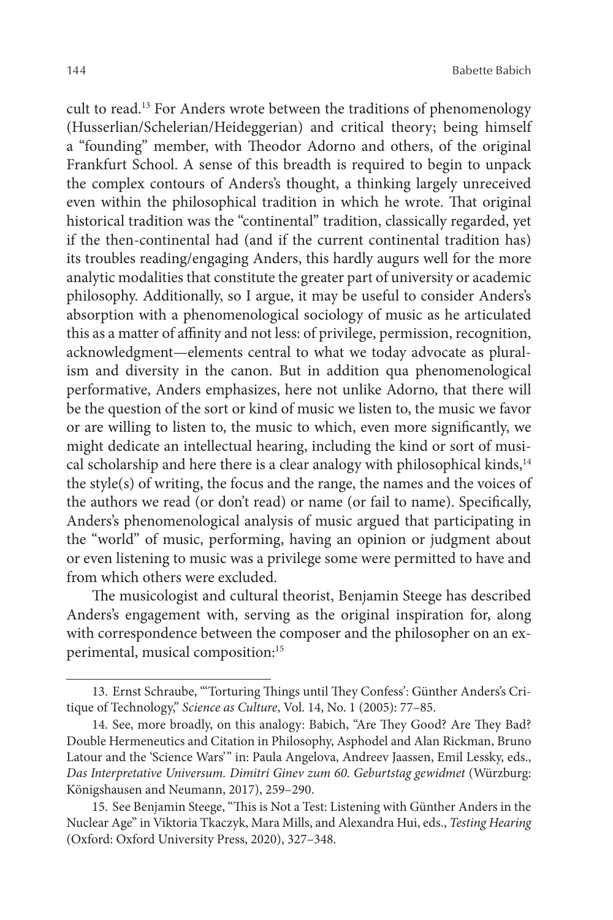cult to read.13 For Anders wrote between the traditions of phenomenology (Husserlian/Schelerian/Heideggerian) and critical theory; being himself a "founding" member, with Theodor Adorno and others, of the original Frankfurt School. A sense of this breadth is required to begin to unpack the complex contours of Anders's thought, a thinking largely unreceived even within the philosophical tradition in which he wrote. That original historical tradition was the "continental" tradition, classically regarded, yet if the then-continental had (and if the current continental tradition has) its troubles reading/engaging Anders, this hardly augurs well for the more analytic modalities that constitute the greater part of university or academic philosophy. Additionally, so I argue, it may be useful to consider Anders's absorption with a phenomenological sociology of music as he articulated this as a matter of affinity and not less: of privilege, permission, recognition, acknowledgment—elements central to what we today advocate as pluralism and diversity in the canon. But in addition qua phenomenological performative, Anders emphasizes, here not unlike Adorno, that there will be the question of the sort or kind of music we listen to, the music we favor or are willing to listen to, the music to which, even more significantly, we might dedicate an intellectual hearing, including the kind or sort of musical scholarship and here there is a clear analogy with philosophical kinds,<sup>14</sup> the style(s) of writing, the focus and the range, the names and the voices of the authors we read (or don't read) or name (or fail to name). Specifically, Anders's phenomenological analysis of music argued that participating in the "world" of music, performing, having an opinion or judgment about or even listening to music was a privilege some were permitted to have and from which others were excluded.

The musicologist and cultural theorist, Benjamin Steege has described Anders's engagement with, serving as the original inspiration for, along with correspondence between the composer and the philosopher on an experimental, musical composition:15

<sup>13.</sup> Ernst Schraube, "'Torturing Things until They Confess': Günther Anders's Critique of Technology," *Science as Culture*, Vol. 14, No. 1 (2005): 77–85.

<sup>14.</sup> See, more broadly, on this analogy: Babich, "Are They Good? Are They Bad? Double Hermeneutics and Citation in Philosophy, Asphodel and Alan Rickman, Bruno Latour and the 'Science Wars'" in: Paula Angelova, Andreev Jaassen, Emil Lessky, eds., *Das Interpretative Universum. Dimitri Ginev zum 60. Geburtstag gewidmet* (Würzburg: Königshausen and Neumann, 2017), 259–290.

<sup>15.</sup> See Benjamin Steege, "This is Not a Test: Listening with Günther Anders in the Nuclear Age" in Viktoria Tkaczyk, Mara Mills, and Alexandra Hui, eds., *Testing Hearing* (Oxford: Oxford University Press, 2020), 327–348.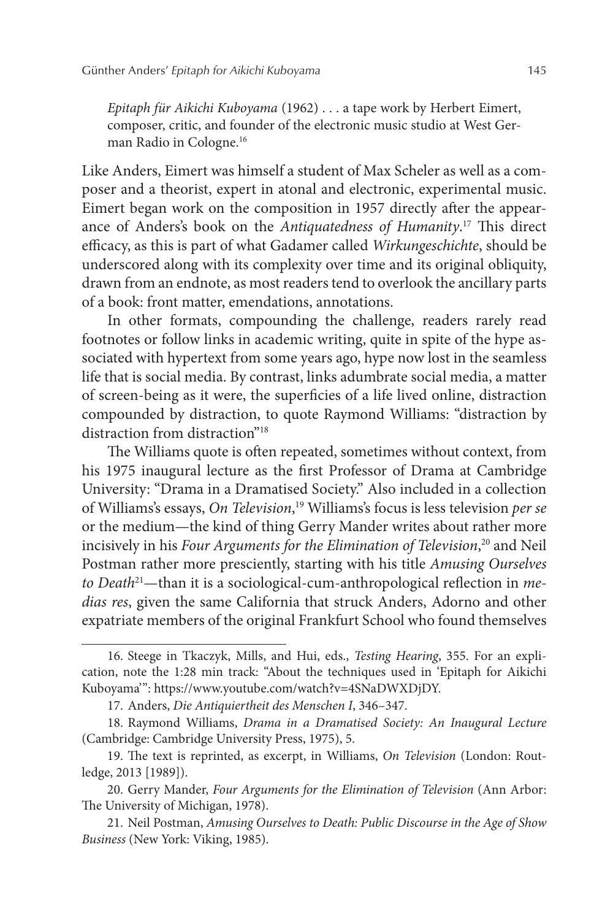*Epitaph für Aikichi Kuboyama* (1962) . . . a tape work by Herbert Eimert, composer, critic, and founder of the electronic music studio at West German Radio in Cologne.16

Like Anders, Eimert was himself a student of Max Scheler as well as a composer and a theorist, expert in atonal and electronic, experimental music. Eimert began work on the composition in 1957 directly after the appearance of Anders's book on the *Antiquatedness of Humanity*. 17 This direct efficacy, as this is part of what Gadamer called *Wirkungeschichte*, should be underscored along with its complexity over time and its original obliquity, drawn from an endnote, as most readers tend to overlook the ancillary parts of a book: front matter, emendations, annotations.

In other formats, compounding the challenge, readers rarely read footnotes or follow links in academic writing, quite in spite of the hype associated with hypertext from some years ago, hype now lost in the seamless life that is social media. By contrast, links adumbrate social media, a matter of screen-being as it were, the superficies of a life lived online, distraction compounded by distraction, to quote Raymond Williams: "distraction by distraction from distraction"18

The Williams quote is often repeated, sometimes without context, from his 1975 inaugural lecture as the first Professor of Drama at Cambridge University: "Drama in a Dramatised Society." Also included in a collection of Williams's essays, *On Television*, 19 Williams's focus is less television *per se* or the medium—the kind of thing Gerry Mander writes about rather more incisively in his *Four Arguments for the Elimination of Television*, 20 and Neil Postman rather more presciently, starting with his title *Amusing Ourselves to Death*21—than it is a sociological-cum-anthropological reflection in *medias res*, given the same California that struck Anders, Adorno and other expatriate members of the original Frankfurt School who found themselves

<sup>16.</sup> Steege in Tkaczyk, Mills, and Hui, eds., *Testing Hearing*, 355. For an explication, note the 1:28 min track: "About the techniques used in 'Epitaph for Aikichi Kuboyama'": https://www.youtube.com/watch?v=4SNaDWXDjDY.

<sup>17.</sup> Anders, *Die Antiquiertheit des Menschen I*, 346–347.

<sup>18.</sup> Raymond Williams, *Drama in a Dramatised Society: An Inaugural Lecture* (Cambridge: Cambridge University Press, 1975), 5.

<sup>19.</sup> The text is reprinted, as excerpt, in Williams, *On Television* (London: Routledge, 2013 [1989]).

<sup>20.</sup> Gerry Mander, *Four Arguments for the Elimination of Television* (Ann Arbor: The University of Michigan, 1978).

<sup>21.</sup> Neil Postman, *Amusing Ourselves to Death: Public Discourse in the Age of Show Business* (New York: Viking, 1985).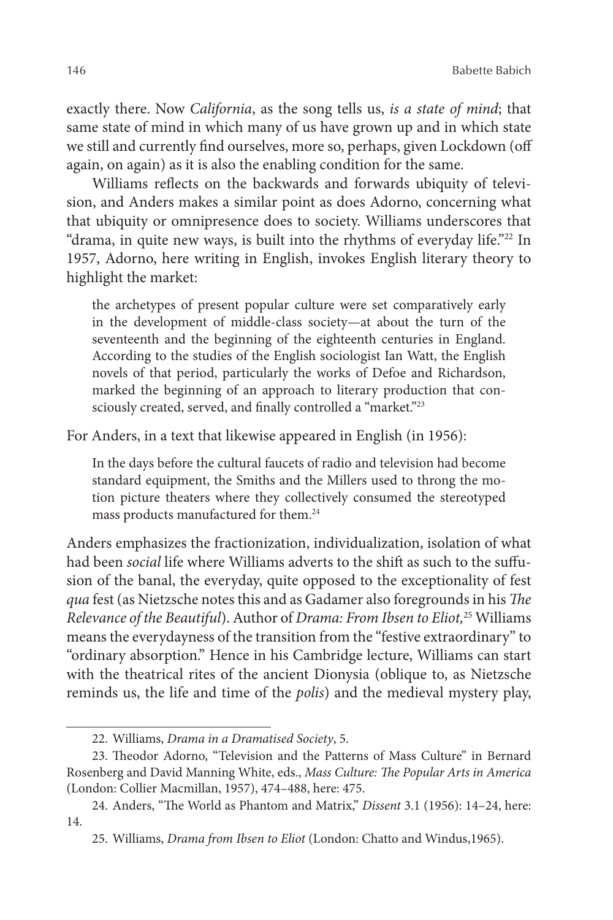exactly there. Now *California*, as the song tells us, *is a state of mind*; that same state of mind in which many of us have grown up and in which state we still and currently find ourselves, more so, perhaps, given Lockdown (off again, on again) as it is also the enabling condition for the same.

Williams reflects on the backwards and forwards ubiquity of television, and Anders makes a similar point as does Adorno, concerning what that ubiquity or omnipresence does to society. Williams underscores that "drama, in quite new ways, is built into the rhythms of everyday life."22 In 1957, Adorno, here writing in English, invokes English literary theory to highlight the market:

the archetypes of present popular culture were set comparatively early in the development of middle-class society—at about the turn of the seventeenth and the beginning of the eighteenth centuries in England. According to the studies of the English sociologist Ian Watt, the English novels of that period, particularly the works of Defoe and Richardson, marked the beginning of an approach to literary production that consciously created, served, and finally controlled a "market."<sup>23</sup>

For Anders, in a text that likewise appeared in English (in 1956):

In the days before the cultural faucets of radio and television had become standard equipment, the Smiths and the Millers used to throng the motion picture theaters where they collectively consumed the stereotyped mass products manufactured for them.24

Anders emphasizes the fractionization, individualization, isolation of what had been *social* life where Williams adverts to the shift as such to the suffusion of the banal, the everyday, quite opposed to the exceptionality of fest *qua* fest (as Nietzsche notes this and as Gadamer also foregrounds in his *The Relevance of the Beautiful*). Author of *Drama: From Ibsen to Eliot,*25 Williams means the everydayness of the transition from the "festive extraordinary" to "ordinary absorption." Hence in his Cambridge lecture, Williams can start with the theatrical rites of the ancient Dionysia (oblique to, as Nietzsche reminds us, the life and time of the *polis*) and the medieval mystery play,

<sup>22.</sup> Williams, *Drama in a Dramatised Society*, 5.

<sup>23.</sup> Theodor Adorno, "Television and the Patterns of Mass Culture" in Bernard Rosenberg and David Manning White, eds., *Mass Culture: The Popular Arts in America* (London: Collier Macmillan, 1957), 474–488, here: 475.

<sup>24.</sup> Anders, "The World as Phantom and Matrix," *Dissent* 3.1 (1956): 14–24, here: 14.

<sup>25.</sup> Williams, *Drama from Ibsen to Eliot* (London: Chatto and Windus,1965).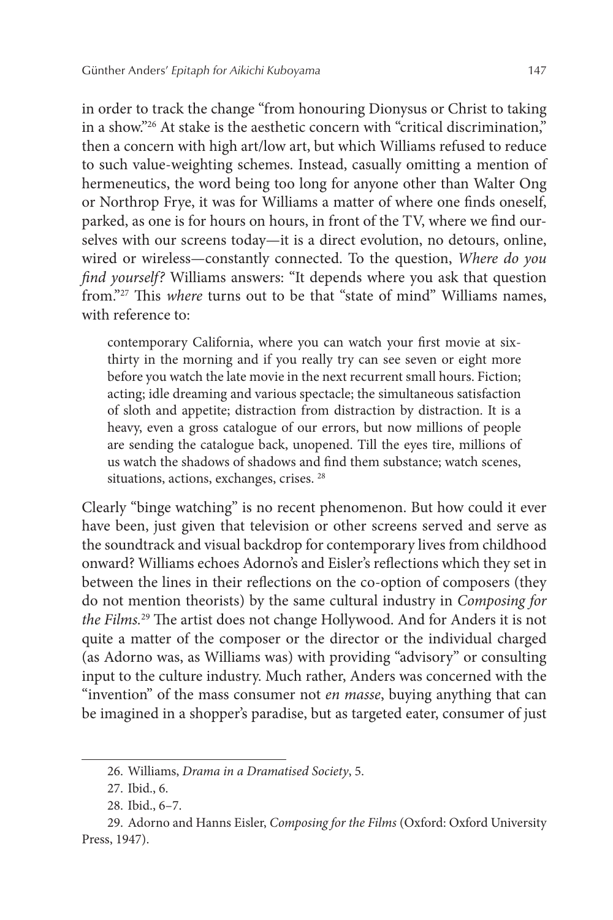in order to track the change "from honouring Dionysus or Christ to taking in a show."26 At stake is the aesthetic concern with "critical discrimination," then a concern with high art/low art, but which Williams refused to reduce to such value-weighting schemes. Instead, casually omitting a mention of hermeneutics, the word being too long for anyone other than Walter Ong or Northrop Frye, it was for Williams a matter of where one finds oneself, parked, as one is for hours on hours, in front of the TV, where we find ourselves with our screens today—it is a direct evolution, no detours, online, wired or wireless—constantly connected. To the question, *Where do you find yourself?* Williams answers: "It depends where you ask that question from."27 This *where* turns out to be that "state of mind" Williams names, with reference to:

contemporary California, where you can watch your first movie at sixthirty in the morning and if you really try can see seven or eight more before you watch the late movie in the next recurrent small hours. Fiction; acting; idle dreaming and various spectacle; the simultaneous satisfaction of sloth and appetite; distraction from distraction by distraction. It is a heavy, even a gross catalogue of our errors, but now millions of people are sending the catalogue back, unopened. Till the eyes tire, millions of us watch the shadows of shadows and find them substance; watch scenes, situations, actions, exchanges, crises. 28

Clearly "binge watching" is no recent phenomenon. But how could it ever have been, just given that television or other screens served and serve as the soundtrack and visual backdrop for contemporary lives from childhood onward? Williams echoes Adorno's and Eisler's reflections which they set in between the lines in their reflections on the co-option of composers (they do not mention theorists) by the same cultural industry in *Composing for the Films.*29 The artist does not change Hollywood. And for Anders it is not quite a matter of the composer or the director or the individual charged (as Adorno was, as Williams was) with providing "advisory" or consulting input to the culture industry. Much rather, Anders was concerned with the "invention" of the mass consumer not *en masse*, buying anything that can be imagined in a shopper's paradise, but as targeted eater, consumer of just

<sup>26.</sup> Williams, *Drama in a Dramatised Society*, 5.

<sup>27.</sup> Ibid., 6.

<sup>28.</sup> Ibid., 6–7.

<sup>29.</sup> Adorno and Hanns Eisler, *Composing for the Films* (Oxford: Oxford University Press, 1947).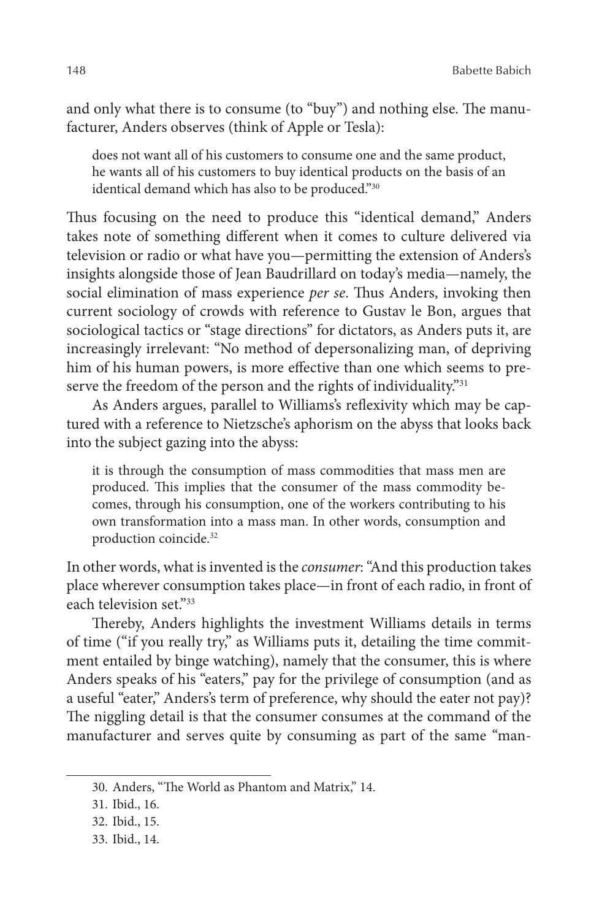148 Babette Babich

and only what there is to consume (to "buy") and nothing else. The manufacturer, Anders observes (think of Apple or Tesla):

does not want all of his customers to consume one and the same product, he wants all of his customers to buy identical products on the basis of an identical demand which has also to be produced."30

Thus focusing on the need to produce this "identical demand," Anders takes note of something different when it comes to culture delivered via television or radio or what have you—permitting the extension of Anders's insights alongside those of Jean Baudrillard on today's media—namely, the social elimination of mass experience *per se*. Thus Anders, invoking then current sociology of crowds with reference to Gustav le Bon, argues that sociological tactics or "stage directions" for dictators, as Anders puts it, are increasingly irrelevant: "No method of depersonalizing man, of depriving him of his human powers, is more effective than one which seems to preserve the freedom of the person and the rights of individuality."<sup>31</sup>

As Anders argues, parallel to Williams's reflexivity which may be captured with a reference to Nietzsche's aphorism on the abyss that looks back into the subject gazing into the abyss:

it is through the consumption of mass commodities that mass men are produced. This implies that the consumer of the mass commodity becomes, through his consumption, one of the workers contributing to his own transformation into a mass man. In other words, consumption and production coincide.32

In other words, what is invented is the *consumer*: "And this production takes place wherever consumption takes place—in front of each radio, in front of each television set."33

Thereby, Anders highlights the investment Williams details in terms of time ("if you really try," as Williams puts it, detailing the time commitment entailed by binge watching), namely that the consumer, this is where Anders speaks of his "eaters," pay for the privilege of consumption (and as a useful "eater," Anders's term of preference, why should the eater not pay)? The niggling detail is that the consumer consumes at the command of the manufacturer and serves quite by consuming as part of the same "man-

<sup>30.</sup> Anders, "The World as Phantom and Matrix," 14.

<sup>31.</sup> Ibid., 16.

<sup>32.</sup> Ibid., 15.

<sup>33.</sup> Ibid., 14.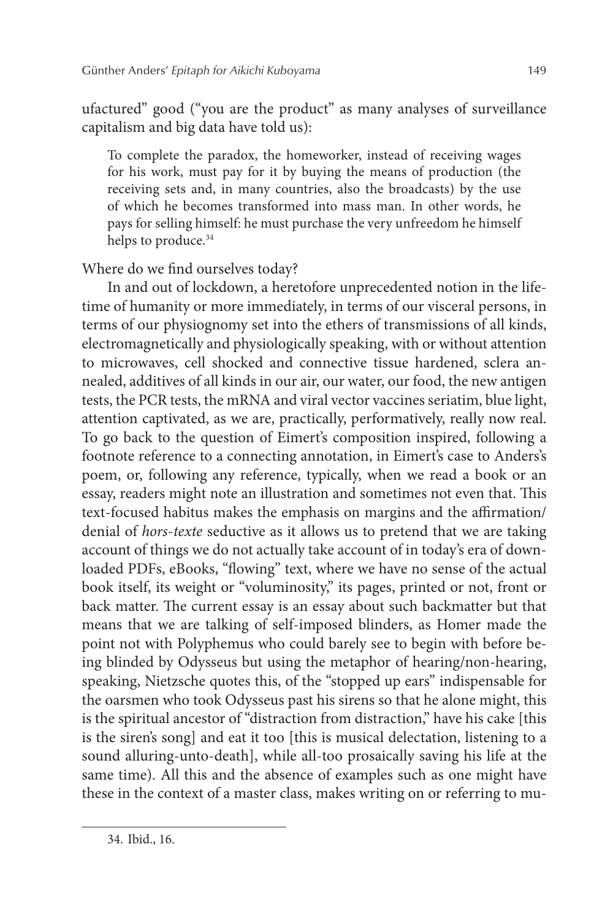ufactured" good ("you are the product" as many analyses of surveillance capitalism and big data have told us):

To complete the paradox, the homeworker, instead of receiving wages for his work, must pay for it by buying the means of production (the receiving sets and, in many countries, also the broadcasts) by the use of which he becomes transformed into mass man. In other words, he pays for selling himself: he must purchase the very unfreedom he himself helps to produce.<sup>34</sup>

Where do we find ourselves today?

In and out of lockdown, a heretofore unprecedented notion in the lifetime of humanity or more immediately, in terms of our visceral persons, in terms of our physiognomy set into the ethers of transmissions of all kinds, electromagnetically and physiologically speaking, with or without attention to microwaves, cell shocked and connective tissue hardened, sclera annealed, additives of all kinds in our air, our water, our food, the new antigen tests, the PCR tests, the mRNA and viral vector vaccines seriatim, blue light, attention captivated, as we are, practically, performatively, really now real. To go back to the question of Eimert's composition inspired, following a footnote reference to a connecting annotation, in Eimert's case to Anders's poem, or, following any reference, typically, when we read a book or an essay, readers might note an illustration and sometimes not even that. This text-focused habitus makes the emphasis on margins and the affirmation/ denial of *hors*-*texte* seductive as it allows us to pretend that we are taking account of things we do not actually take account of in today's era of downloaded PDFs, eBooks, "flowing" text, where we have no sense of the actual book itself, its weight or "voluminosity," its pages, printed or not, front or back matter. The current essay is an essay about such backmatter but that means that we are talking of self-imposed blinders, as Homer made the point not with Polyphemus who could barely see to begin with before being blinded by Odysseus but using the metaphor of hearing/non-hearing, speaking, Nietzsche quotes this, of the "stopped up ears" indispensable for the oarsmen who took Odysseus past his sirens so that he alone might, this is the spiritual ancestor of "distraction from distraction," have his cake [this is the siren's song] and eat it too [this is musical delectation, listening to a sound alluring-unto-death], while all-too prosaically saving his life at the same time). All this and the absence of examples such as one might have these in the context of a master class, makes writing on or referring to mu-

<sup>34.</sup> Ibid., 16.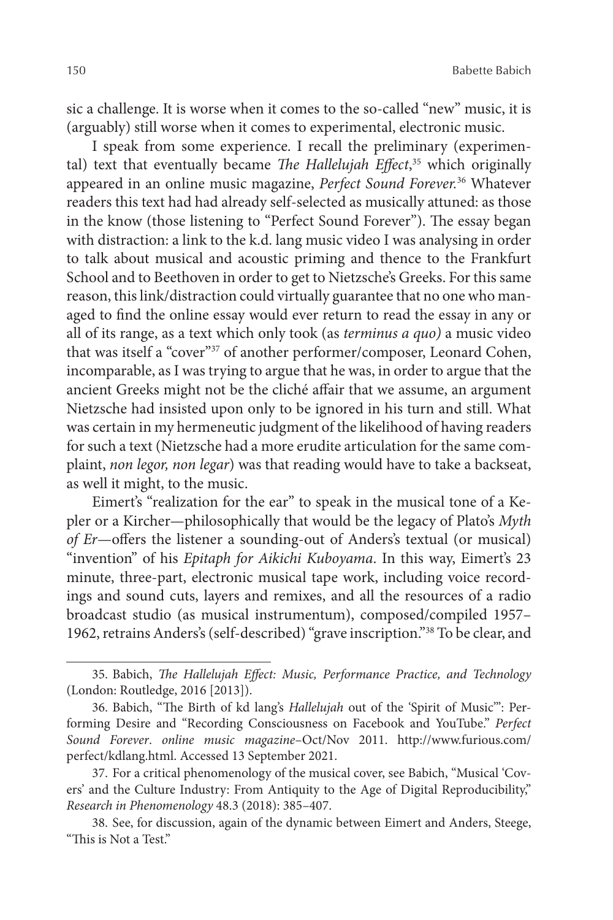sic a challenge. It is worse when it comes to the so-called "new" music, it is (arguably) still worse when it comes to experimental, electronic music.

I speak from some experience. I recall the preliminary (experimental) text that eventually became *The Hallelujah Effect*, 35 which originally appeared in an online music magazine, *Perfect Sound Forever.*36 Whatever readers this text had had already self-selected as musically attuned: as those in the know (those listening to "Perfect Sound Forever"). The essay began with distraction: a link to the k.d. lang music video I was analysing in order to talk about musical and acoustic priming and thence to the Frankfurt School and to Beethoven in order to get to Nietzsche's Greeks. For this same reason, this link/distraction could virtually guarantee that no one who managed to find the online essay would ever return to read the essay in any or all of its range, as a text which only took (as *terminus a quo)* a music video that was itself a "cover"<sup>37</sup> of another performer/composer, Leonard Cohen, incomparable, as I was trying to argue that he was, in order to argue that the ancient Greeks might not be the cliché affair that we assume, an argument Nietzsche had insisted upon only to be ignored in his turn and still. What was certain in my hermeneutic judgment of the likelihood of having readers for such a text (Nietzsche had a more erudite articulation for the same complaint, *non legor, non legar*) was that reading would have to take a backseat, as well it might, to the music.

Eimert's "realization for the ear" to speak in the musical tone of a Kepler or a Kircher—philosophically that would be the legacy of Plato's *Myth of Er*—offers the listener a sounding-out of Anders's textual (or musical) "invention" of his *Epitaph for Aikichi Kuboyama*. In this way, Eimert's 23 minute, three-part, electronic musical tape work, including voice recordings and sound cuts, layers and remixes, and all the resources of a radio broadcast studio (as musical instrumentum), composed/compiled 1957– 1962, retrains Anders's (self-described) "grave inscription."38 To be clear, and

<sup>35.</sup> Babich, *The Hallelujah Effect: Music, Performance Practice, and Technology* (London: Routledge, 2016 [2013]).

<sup>36.</sup> Babich, "The Birth of kd lang's *Hallelujah* out of the 'Spirit of Music'": Performing Desire and "Recording Consciousness on Facebook and YouTube." *Perfect Sound Forever*. *online music magazine*–Oct/Nov 2011. http://www.furious.com/ perfect/kdlang.html. Accessed 13 September 2021.

<sup>37.</sup> For a critical phenomenology of the musical cover, see Babich, "Musical 'Covers' and the Culture Industry: From Antiquity to the Age of Digital Reproducibility," *Research in Phenomenology* 48.3 (2018): 385–407.

<sup>38.</sup> See, for discussion, again of the dynamic between Eimert and Anders, Steege, "This is Not a Test."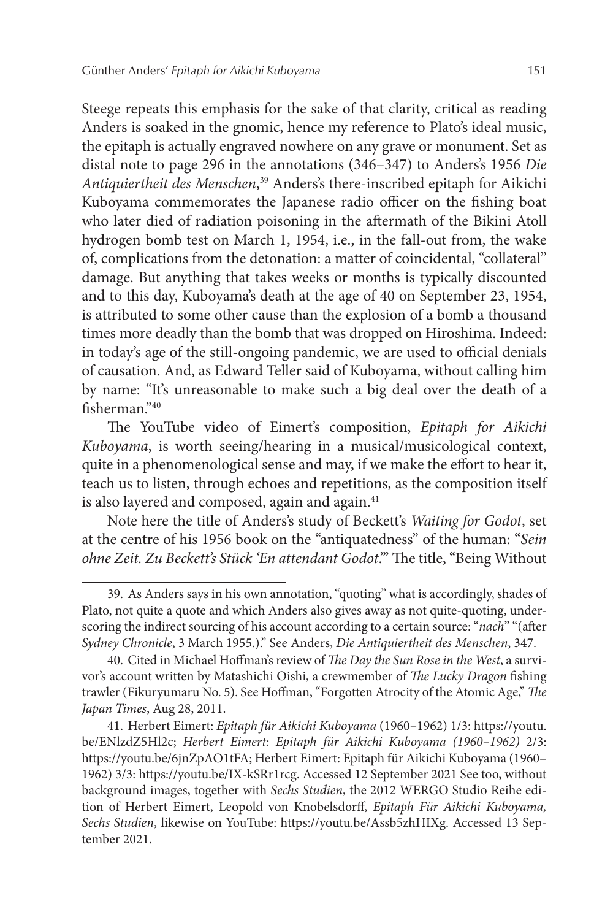Steege repeats this emphasis for the sake of that clarity, critical as reading Anders is soaked in the gnomic, hence my reference to Plato's ideal music, the epitaph is actually engraved nowhere on any grave or monument. Set as distal note to page 296 in the annotations (346–347) to Anders's 1956 *Die Antiquiertheit des Menschen*, 39 Anders's there-inscribed epitaph for Aikichi Kuboyama commemorates the Japanese radio officer on the fishing boat who later died of radiation poisoning in the aftermath of the Bikini Atoll hydrogen bomb test on March 1, 1954, i.e., in the fall-out from, the wake of, complications from the detonation: a matter of coincidental, "collateral" damage. But anything that takes weeks or months is typically discounted and to this day, Kuboyama's death at the age of 40 on September 23, 1954, is attributed to some other cause than the explosion of a bomb a thousand times more deadly than the bomb that was dropped on Hiroshima. Indeed: in today's age of the still-ongoing pandemic, we are used to official denials of causation. And, as Edward Teller said of Kuboyama, without calling him by name: "It's unreasonable to make such a big deal over the death of a fisherman."40

The YouTube video of Eimert's composition, *Epitaph for Aikichi Kuboyama*, is worth seeing/hearing in a musical/musicological context, quite in a phenomenological sense and may, if we make the effort to hear it, teach us to listen, through echoes and repetitions, as the composition itself is also layered and composed, again and again.<sup>41</sup>

Note here the title of Anders's study of Beckett's *Waiting for Godot*, set at the centre of his 1956 book on the "antiquatedness" of the human: "*Sein ohne Zeit. Zu Beckett's Stück 'En attendant Godot*.'" The title, "Being Without

<sup>39.</sup> As Anders says in his own annotation, "quoting" what is accordingly, shades of Plato, not quite a quote and which Anders also gives away as not quite-quoting, underscoring the indirect sourcing of his account according to a certain source: "*nach*" "(after *Sydney Chronicle*, 3 March 1955.)." See Anders, *Die Antiquiertheit des Menschen*, 347.

<sup>40.</sup> Cited in Michael Hoffman's review of *The Day the Sun Rose in the West*, a survivor's account written by Matashichi Oishi, a crewmember of *The Lucky Dragon* fishing trawler (Fikuryumaru No. 5). See Hoffman, "Forgotten Atrocity of the Atomic Age," *The Japan Times*, Aug 28, 2011.

<sup>41.</sup> Herbert Eimert: *Epitaph für Aikichi Kuboyama* (1960–1962) 1/3: https://youtu. be/ENlzdZ5Hl2c; *Herbert Eimert: Epitaph für Aikichi Kuboyama (1960–1962)* 2/3: https://youtu.be/6jnZpAO1tFA; Herbert Eimert: Epitaph für Aikichi Kuboyama (1960– 1962) 3/3: https://youtu.be/IX-kSRr1rcg. Accessed 12 September 2021 See too, without background images, together with *Sechs Studien*, the 2012 WERGO Studio Reihe edition of Herbert Eimert, Leopold von Knobelsdorff, *Epitaph Für Aikichi Kuboyama, Sechs Studien*, likewise on YouTube: https://youtu.be/Assb5zhHIXg. Accessed 13 September 2021.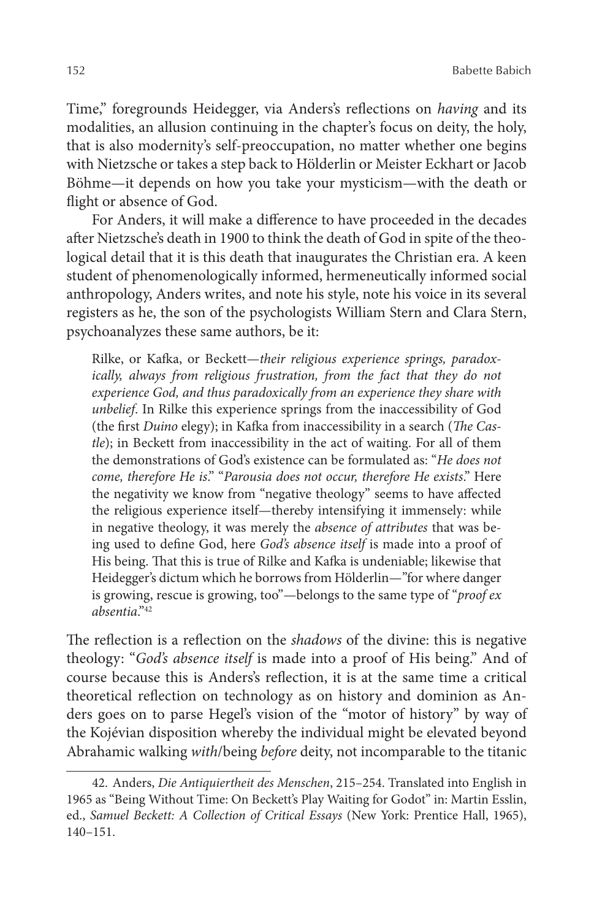Time," foregrounds Heidegger, via Anders's reflections on *having* and its modalities, an allusion continuing in the chapter's focus on deity, the holy, that is also modernity's self-preoccupation, no matter whether one begins with Nietzsche or takes a step back to Hölderlin or Meister Eckhart or Jacob Böhme—it depends on how you take your mysticism—with the death or flight or absence of God.

For Anders, it will make a difference to have proceeded in the decades after Nietzsche's death in 1900 to think the death of God in spite of the theological detail that it is this death that inaugurates the Christian era. A keen student of phenomenologically informed, hermeneutically informed social anthropology, Anders writes, and note his style, note his voice in its several registers as he, the son of the psychologists William Stern and Clara Stern, psychoanalyzes these same authors, be it:

Rilke, or Kafka, or Beckett—*their religious experience springs, paradoxically, always from religious frustration, from the fact that they do not experience God, and thus paradoxically from an experience they share with unbelief*. In Rilke this experience springs from the inaccessibility of God (the first *Duino* elegy); in Kafka from inaccessibility in a search (*The Castle*); in Beckett from inaccessibility in the act of waiting. For all of them the demonstrations of God's existence can be formulated as: "*He does not come, therefore He is*." "*Parousia does not occur, therefore He exists*." Here the negativity we know from "negative theology" seems to have affected the religious experience itself—thereby intensifying it immensely: while in negative theology, it was merely the *absence of attributes* that was being used to define God, here *God's absence itself* is made into a proof of His being. That this is true of Rilke and Kafka is undeniable; likewise that Heidegger's dictum which he borrows from Hölderlin—"for where danger is growing, rescue is growing, too"—belongs to the same type of "*proof ex absentia*."42

The reflection is a reflection on the *shadows* of the divine: this is negative theology: "*God's absence itself* is made into a proof of His being." And of course because this is Anders's reflection, it is at the same time a critical theoretical reflection on technology as on history and dominion as Anders goes on to parse Hegel's vision of the "motor of history" by way of the Kojévian disposition whereby the individual might be elevated beyond Abrahamic walking *with*/being *before* deity, not incomparable to the titanic

<sup>42.</sup> Anders, *Die Antiquiertheit des Menschen*, 215–254. Translated into English in 1965 as "Being Without Time: On Beckett's Play Waiting for Godot" in: Martin Esslin, ed., *Samuel Beckett: A Collection of Critical Essays* (New York: Prentice Hall, 1965), 140–151.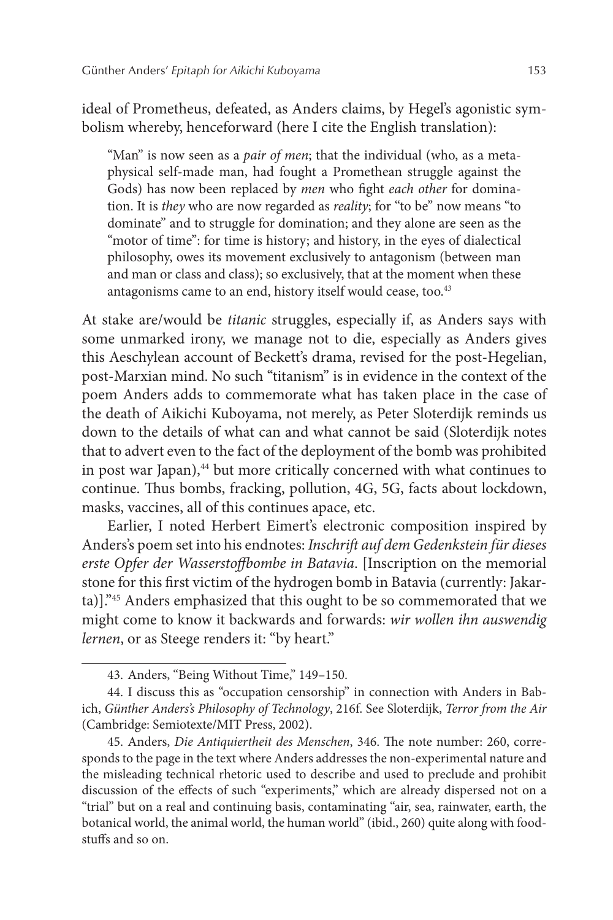ideal of Prometheus, defeated, as Anders claims, by Hegel's agonistic symbolism whereby, henceforward (here I cite the English translation):

"Man" is now seen as a *pair of men*; that the individual (who, as a metaphysical self-made man, had fought a Promethean struggle against the Gods) has now been replaced by *men* who fight *each other* for domination. It is *they* who are now regarded as *reality*; for "to be" now means "to dominate" and to struggle for domination; and they alone are seen as the "motor of time": for time is history; and history, in the eyes of dialectical philosophy, owes its movement exclusively to antagonism (between man and man or class and class); so exclusively, that at the moment when these antagonisms came to an end, history itself would cease, too.<sup>43</sup>

At stake are/would be *titanic* struggles, especially if, as Anders says with some unmarked irony, we manage not to die, especially as Anders gives this Aeschylean account of Beckett's drama, revised for the post-Hegelian, post-Marxian mind. No such "titanism" is in evidence in the context of the poem Anders adds to commemorate what has taken place in the case of the death of Aikichi Kuboyama, not merely, as Peter Sloterdijk reminds us down to the details of what can and what cannot be said (Sloterdijk notes that to advert even to the fact of the deployment of the bomb was prohibited in post war Japan), $44$  but more critically concerned with what continues to continue. Thus bombs, fracking, pollution, 4G, 5G, facts about lockdown, masks, vaccines, all of this continues apace, etc.

Earlier, I noted Herbert Eimert's electronic composition inspired by Anders's poem set into his endnotes: *Inschrift auf dem Gedenkstein für dieses erste Opfer der Wasserstoffbombe in Batavia*. [Inscription on the memorial stone for this first victim of the hydrogen bomb in Batavia (currently: Jakarta)]."45 Anders emphasized that this ought to be so commemorated that we might come to know it backwards and forwards: *wir wollen ihn auswendig lernen*, or as Steege renders it: "by heart."

<sup>43.</sup> Anders, "Being Without Time," 149–150.

<sup>44.</sup> I discuss this as "occupation censorship" in connection with Anders in Babich, *Günther Anders's Philosophy of Technology*, 216f. See Sloterdijk, *Terror from the Air* (Cambridge: Semiotexte/MIT Press, 2002).

<sup>45.</sup> Anders, *Die Antiquiertheit des Menschen*, 346. The note number: 260, corresponds to the page in the text where Anders addresses the non-experimental nature and the misleading technical rhetoric used to describe and used to preclude and prohibit discussion of the effects of such "experiments," which are already dispersed not on a "trial" but on a real and continuing basis, contaminating "air, sea, rainwater, earth, the botanical world, the animal world, the human world" (ibid., 260) quite along with foodstuffs and so on.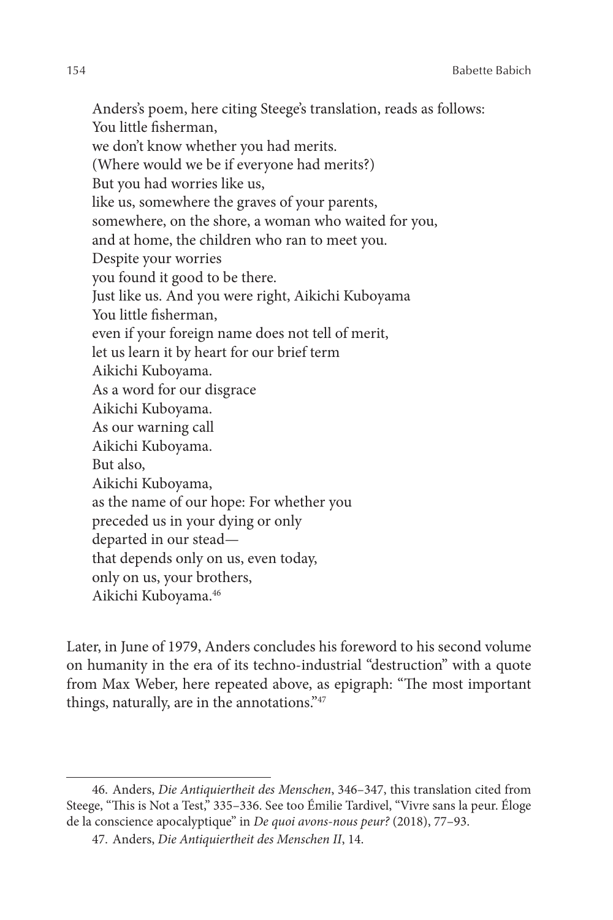Anders's poem, here citing Steege's translation, reads as follows: You little fisherman, we don't know whether you had merits. (Where would we be if everyone had merits?) But you had worries like us, like us, somewhere the graves of your parents, somewhere, on the shore, a woman who waited for you, and at home, the children who ran to meet you. Despite your worries you found it good to be there. Just like us. And you were right, Aikichi Kuboyama You little fisherman, even if your foreign name does not tell of merit, let us learn it by heart for our brief term Aikichi Kuboyama. As a word for our disgrace Aikichi Kuboyama. As our warning call Aikichi Kuboyama. But also, Aikichi Kuboyama, as the name of our hope: For whether you preceded us in your dying or only departed in our stead that depends only on us, even today, only on us, your brothers, Aikichi Kuboyama.46

Later, in June of 1979, Anders concludes his foreword to his second volume on humanity in the era of its techno-industrial "destruction" with a quote from Max Weber, here repeated above, as epigraph: "The most important things, naturally, are in the annotations."47

<sup>46.</sup> Anders, *Die Antiquiertheit des Menschen*, 346–347, this translation cited from Steege, "This is Not a Test," 335–336. See too Émilie Tardivel, "Vivre sans la peur. Éloge de la conscience apocalyptique" in *De quoi avons-nous peur?* (2018), 77–93.

<sup>47.</sup> Anders, *Die Antiquiertheit des Menschen II*, 14.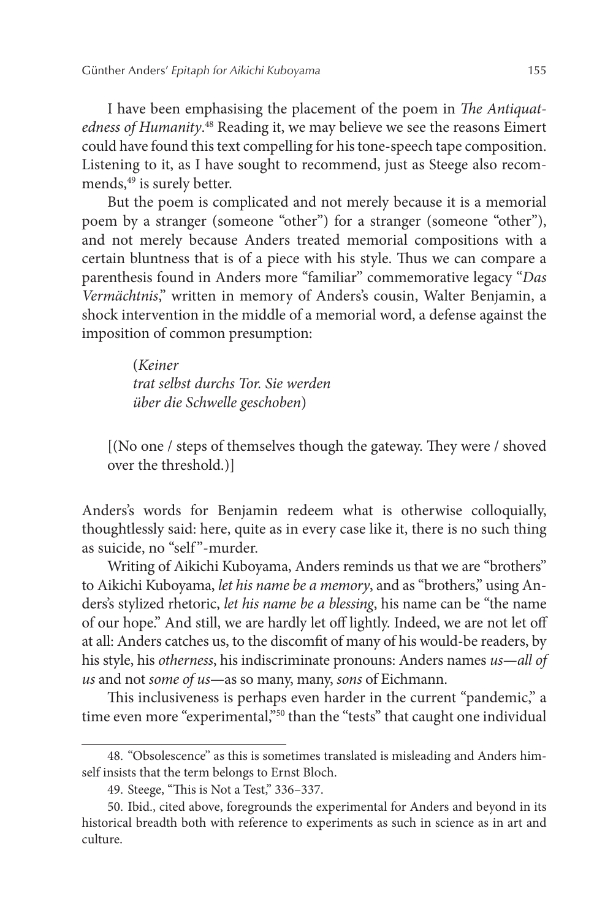I have been emphasising the placement of the poem in *The Antiquat*edness of Humanity.<sup>48</sup> Reading it, we may believe we see the reasons Eimert could have found this text compelling for his tone-speech tape composition. Listening to it, as I have sought to recommend, just as Steege also recommends,<sup>49</sup> is surely better.

But the poem is complicated and not merely because it is a memorial poem by a stranger (someone "other") for a stranger (someone "other"), and not merely because Anders treated memorial compositions with a certain bluntness that is of a piece with his style. Thus we can compare a parenthesis found in Anders more "familiar" commemorative legacy "*Das Vermächtnis*," written in memory of Anders's cousin, Walter Benjamin, a shock intervention in the middle of a memorial word, a defense against the imposition of common presumption:

> (*Keiner trat selbst durchs Tor. Sie werden über die Schwelle geschoben*)

[(No one / steps of themselves though the gateway. They were / shoved over the threshold.)]

Anders's words for Benjamin redeem what is otherwise colloquially, thoughtlessly said: here, quite as in every case like it, there is no such thing as suicide, no "self"-murder.

Writing of Aikichi Kuboyama, Anders reminds us that we are "brothers" to Aikichi Kuboyama, *let his name be a memory*, and as "brothers," using Anders's stylized rhetoric, *let his name be a blessing*, his name can be "the name of our hope." And still, we are hardly let off lightly. Indeed, we are not let off at all: Anders catches us, to the discomfit of many of his would-be readers, by his style, his *otherness*, his indiscriminate pronouns: Anders names *us*—*all of us* and not *some of us*—as so many, many, *sons* of Eichmann.

This inclusiveness is perhaps even harder in the current "pandemic," a time even more "experimental,"<sup>50</sup> than the "tests" that caught one individual

<sup>48.</sup> "Obsolescence" as this is sometimes translated is misleading and Anders himself insists that the term belongs to Ernst Bloch.

<sup>49.</sup> Steege, "This is Not a Test," 336–337.

<sup>50.</sup> Ibid., cited above, foregrounds the experimental for Anders and beyond in its historical breadth both with reference to experiments as such in science as in art and culture.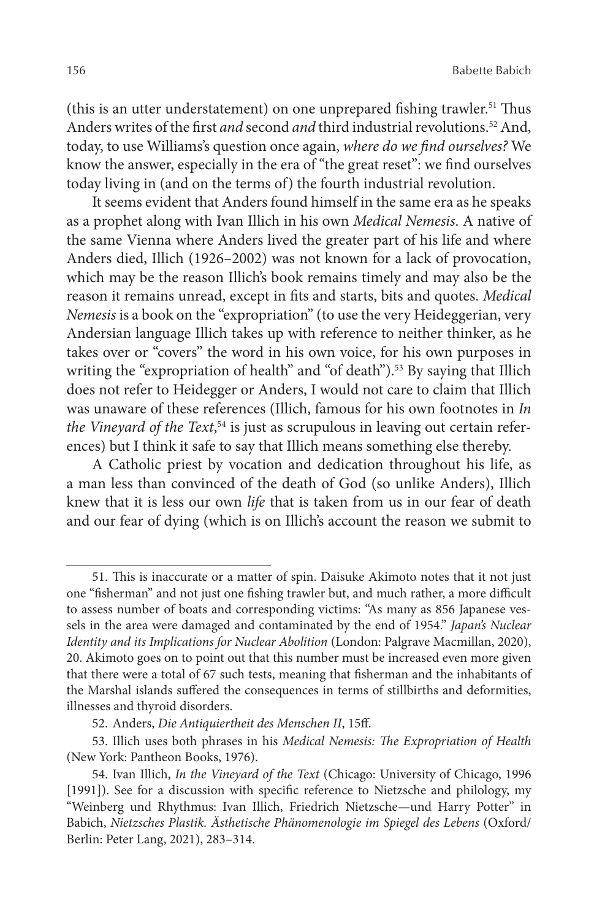(this is an utter understatement) on one unprepared fishing trawler.<sup>51</sup> Thus Anders writes of the first *and* second *and* third industrial revolutions.<sup>52</sup> And, today, to use Williams's question once again, *where do we find ourselves?* We know the answer, especially in the era of "the great reset": we find ourselves today living in (and on the terms of) the fourth industrial revolution.

It seems evident that Anders found himself in the same era as he speaks as a prophet along with Ivan Illich in his own *Medical Nemesis*. A native of the same Vienna where Anders lived the greater part of his life and where Anders died, Illich (1926–2002) was not known for a lack of provocation, which may be the reason Illich's book remains timely and may also be the reason it remains unread, except in fits and starts, bits and quotes. *Medical Nemesis* is a book on the "expropriation" (to use the very Heideggerian, very Andersian language Illich takes up with reference to neither thinker, as he takes over or "covers" the word in his own voice, for his own purposes in writing the "expropriation of health" and "of death").<sup>53</sup> By saying that Illich does not refer to Heidegger or Anders, I would not care to claim that Illich was unaware of these references (Illich, famous for his own footnotes in *In the Vineyard of the Text*, 54 is just as scrupulous in leaving out certain references) but I think it safe to say that Illich means something else thereby.

A Catholic priest by vocation and dedication throughout his life, as a man less than convinced of the death of God (so unlike Anders), Illich knew that it is less our own *life* that is taken from us in our fear of death and our fear of dying (which is on Illich's account the reason we submit to

<sup>51.</sup> This is inaccurate or a matter of spin. Daisuke Akimoto notes that it not just one "fisherman" and not just one fishing trawler but, and much rather, a more difficult to assess number of boats and corresponding victims: "As many as 856 Japanese vessels in the area were damaged and contaminated by the end of 1954." *Japan's Nuclear Identity and its Implications for Nuclear Abolition* (London: Palgrave Macmillan, 2020), 20. Akimoto goes on to point out that this number must be increased even more given that there were a total of 67 such tests, meaning that fisherman and the inhabitants of the Marshal islands suffered the consequences in terms of stillbirths and deformities, illnesses and thyroid disorders.

<sup>52.</sup> Anders, *Die Antiquiertheit des Menschen II*, 15ff.

<sup>53.</sup> Illich uses both phrases in his *Medical Nemesis: The Expropriation of Health* (New York: Pantheon Books, 1976).

<sup>54.</sup> Ivan Illich, *In the Vineyard of the Text* (Chicago: University of Chicago, 1996 [1991]). See for a discussion with specific reference to Nietzsche and philology, my "Weinberg und Rhythmus: Ivan Illich, Friedrich Nietzsche—und Harry Potter" in Babich, *Nietzsches Plastik. Ästhetische Phänomenologie im Spiegel des Lebens* (Oxford/ Berlin: Peter Lang, 2021), 283–314.